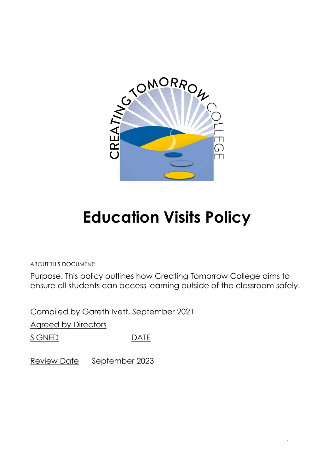

# **Education Visits Policy**

ABOUT THIS DOCUMENT:

Purpose: This policy outlines how Creating Tomorrow College aims to ensure all students can access learning outside of the classroom safely.

Compiled by Gareth Ivett, September 2021

**Agreed by Directors** 

SIGNED DATE

Review Date September 2023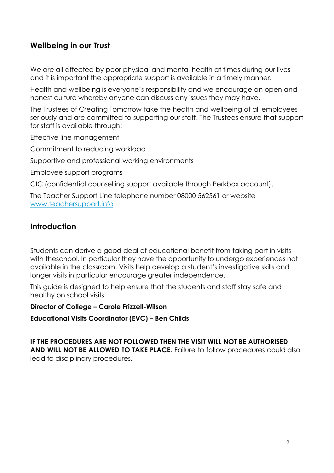# **Wellbeing in our Trust**

We are all affected by poor physical and mental health at times during our lives and it is important the appropriate support is available in a timely manner.

Health and wellbeing is everyone's responsibility and we encourage an open and honest culture whereby anyone can discuss any issues they may have.

The Trustees of Creating Tomorrow take the health and wellbeing of all employees seriously and are committed to supporting our staff. The Trustees ensure that support for staff is available through:

Effective line management

Commitment to reducing workload

Supportive and professional working environments

Employee support programs

CIC (confidential counselling support available through Perkbox account).

The Teacher Support Line telephone number 08000 562561 or website [www.teachersupport.info](http://www.teachersupport.info/)

## **Introduction**

Students can derive a good deal of educational benefit from taking part in visits with theschool. In particular they have the opportunity to undergo experiences not available in the classroom. Visits help develop a student's investigative skills and longer visits in particular encourage greater independence.

This guide is designed to help ensure that the students and staff stay safe and healthy on school visits.

**Director of College – Carole Frizzell-Wilson**

**Educational Visits Coordinator (EVC) – Ben Childs**

**IF THE PROCEDURES ARE NOT FOLLOWED THEN THE VISIT WILL NOT BE AUTHORISED AND WILL NOT BE ALLOWED TO TAKE PLACE.** Failure to follow procedures could also lead to disciplinary procedures.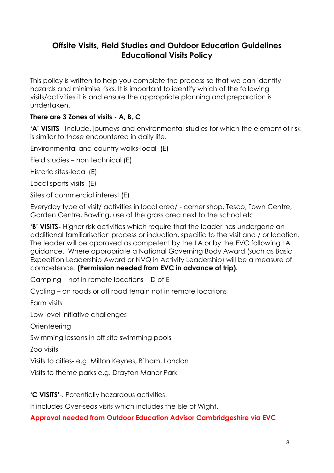# **Offsite Visits, Field Studies and Outdoor Education Guidelines Educational Visits Policy**

This policy is written to help you complete the process so that we can identify hazards and minimise risks. It is important to identify which of the following visits/activities it is and ensure the appropriate planning and preparation is undertaken.

## **There are 3 Zones of visits - A, B, C**

**'A' VISITS** - Include, journeys and environmental studies for which the element of risk is similar to those encountered in daily life.

Environmental and country walks-local (E)

Field studies – non technical (E)

Historic sites-local (E)

Local sports visits (E)

Sites of commercial interest (E)

Everyday type of visit/ activities in local area/ - corner shop, Tesco, Town Centre, Garden Centre, Bowling, use of the grass area next to the school etc

**'B' VISITS-** Higher risk activities which require that the leader has undergone an additional familiarisation process or induction, specific to the visit and / or location. The leader will be approved as competent by the LA or by the EVC following LA guidance. Where appropriate a National Governing Body Award (such as Basic Expedition Leadership Award or NVQ in Activity Leadership) will be a measure of competence. **(Permission needed from EVC in advance of trip).**

Camping – not in remote locations – D of E

Cycling – on roads or off road terrain not in remote locations

Farm visits

Low level initiative challenges

**Orienteering** 

Swimming lessons in off-site swimming pools

Zoo visits

Visits to cities- e.g. Milton Keynes, B'ham, London

Visits to theme parks e.g. Drayton Manor Park

**'C VISITS'**-. Potentially hazardous activities.

It includes Over-seas visits which includes the Isle of Wight.

#### **Approval needed from Outdoor Education Advisor Cambridgeshire via EVC**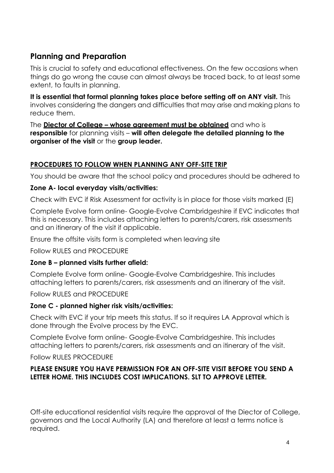# **Planning and Preparation**

This is crucial to safety and educational effectiveness. On the few occasions when things do go wrong the cause can almost always be traced back, to at least some extent, to faults in planning.

**It is essential that formal planning takes place before setting off on ANY visit.** This involves considering the dangers and difficulties that may arise and making plans to reduce them.

The **Diector of College – whose agreement must be obtained** and who is **responsible** for planning visits – **will often delegate the detailed planning to the organiser of the visit** or the **group leader.**

### **PROCEDURES TO FOLLOW WHEN PLANNING ANY OFF-SITE TRIP**

You should be aware that the school policy and procedures should be adhered to

#### **Zone A- local everyday visits/activities:**

Check with EVC if Risk Assessment for activity is in place for those visits marked (E)

Complete Evolve form online- Google-Evolve Cambridgeshire if EVC indicates that this is necessary. This includes attaching letters to parents/carers, risk assessments and an itinerary of the visit if applicable.

Ensure the offsite visits form is completed when leaving site

Follow RULES and PROCEDURE

#### **Zone B – planned visits further afield:**

Complete Evolve form online- Google-Evolve Cambridgeshire. This includes attaching letters to parents/carers, risk assessments and an itinerary of the visit.

Follow RULES and PROCEDURE

#### **Zone C - planned higher risk visits/activities:**

Check with EVC if your trip meets this status. If so it requires LA Approval which is done through the Evolve process by the EVC.

Complete Evolve form online- Google-Evolve Cambridgeshire. This includes attaching letters to parents/carers, risk assessments and an itinerary of the visit.

Follow RULES PROCEDURE

#### **PLEASE ENSURE YOU HAVE PERMISSION FOR AN OFF-SITE VISIT BEFORE YOU SEND A LETTER HOME. THIS INCLUDES COST IMPLICATIONS. SLT TO APPROVE LETTER.**

Off-site educational residential visits require the approval of the Diector of College, governors and the Local Authority (LA) and therefore at least a terms notice is required.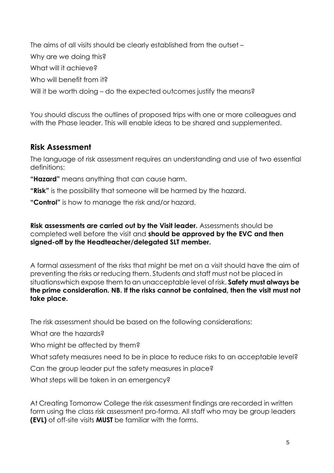The aims of all visits should be clearly established from the outset – Why are we doing this? What will it achieve? Who will benefit from it? Will it be worth doing – do the expected outcomes justify the means?

You should discuss the outlines of proposed trips with one or more colleagues and with the Phase leader. This will enable ideas to be shared and supplemented.

# **Risk Assessment**

The language of risk assessment requires an understanding and use of two essential definitions:

**"Hazard"** means anything that can cause harm.

- **"Risk"** is the possibility that someone will be harmed by the hazard.
- **"Control"** is how to manage the risk and/or hazard.

**Risk assessments are carried out by the Visit leader.** Assessments should be completed well before the visit and **should be approved by the EVC and then signed-off by the Headteacher/delegated SLT member.**

A formal assessment of the risks that might be met on a visit should have the aim of preventing the risks or reducing them. Students and staff must not be placed in situationswhich expose them to an unacceptable level of risk. **Safety must always be the prime consideration. NB. If the risks cannot be contained, then the visit must not take place.**

The risk assessment should be based on the following considerations:

What are the hazards?

Who might be affected by them?

What safety measures need to be in place to reduce risks to an acceptable level?

Can the group leader put the safety measures in place?

What steps will be taken in an emergency?

At Creating Tomorrow College the risk assessment findings are recorded in written form using the class risk assessment pro-forma. All staff who may be group leaders **(EVL)** of off-site visits **MUST** be familiar with the forms.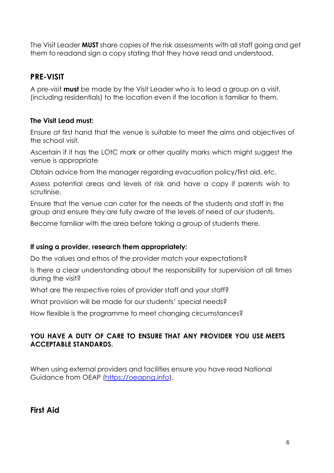The Visit Leader **MUST** share copies of the risk assessments with all staff going and get them to readand sign a copy stating that they have read and understood.

# **PRE-VISIT**

A pre-visit **must** be made by the Visit Leader who is to lead a group on a visit, (including residentials) to the location even if the location is familiar to them.

### **The Visit Lead must:**

Ensure at first hand that the venue is suitable to meet the aims and objectives of the school visit.

Ascertain if it has the LOtC mark or other quality marks which might suggest the venue is appropriate

Obtain advice from the manager regarding evacuation policy/first aid, etc.

Assess potential areas and levels of risk and have a copy if parents wish to scrutinise.

Ensure that the venue can cater for the needs of the students and staff in the group and ensure they are fully aware of the levels of need of our students.

Become familiar with the area before taking a group of students there.

#### **If using a provider, research them appropriately:**

Do the values and ethos of the provider match your expectations?

Is there a clear understanding about the responsibility for supervision at all times during the visit?

What are the respective roles of provider staff and your staff?

What provision will be made for our students' special needs?

How flexible is the programme to meet changing circumstances?

#### **YOU HAVE A DUTY OF CARE TO ENSURE THAT ANY PROVIDER YOU USE MEETS ACCEPTABLE STANDARDS.**

When using external providers and facilities ensure you have read National Guidance from OEAP (https://oeapng.info).

**First Aid**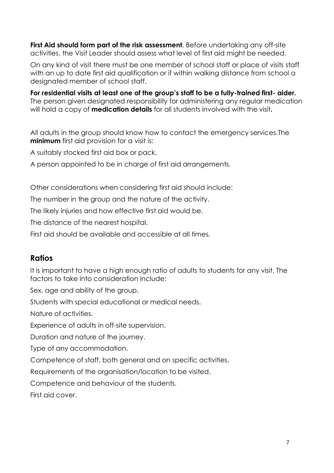**First Aid should form part of the risk assessment**. Before undertaking any off-site activities, the Visit Leader should assess what level of first aid might be needed.

On any kind of visit there must be one member of school staff or place of visits staff with an up to date first aid qualification or if within walking distance from school a designated member of school staff.

**For residential visits at least one of the group's staff to be a fully-trained first- aider.** The person given designated responsibility for administering any regular medication will hold a copy of **medication details** for all students involved with the visit**.**

All adults in the group should know how to contact the emergency services.The **minimum** first aid provision for a visit is:

A suitably stocked first aid box or pack.

A person appointed to be in charge of first aid arrangements.

Other considerations when considering first aid should include:

The number in the group and the nature of the activity.

The likely injuries and how effective first aid would be.

The distance of the nearest hospital.

First aid should be available and accessible at all times.

# **Ratios**

It is important to have a high enough ratio of adults to students for any visit. The factors to take into consideration include:

Sex, age and ability of the group.

Students with special educational or medical needs.

Nature of activities.

Experience of adults in off-site supervision.

Duration and nature of the journey.

Type of any accommodation.

Competence of staff, both general and on specific activities.

Requirements of the organisation/location to be visited.

Competence and behaviour of the students.

First aid cover.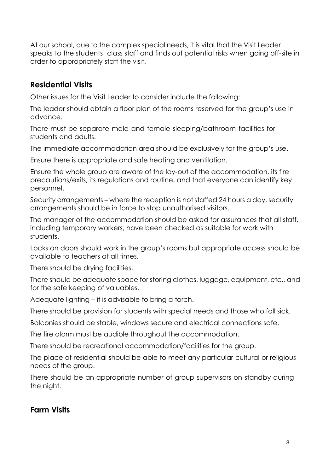At our school, due to the complex special needs, it is vital that the Visit Leader speaks to the students' class staff and finds out potential risks when going off-site in order to appropriately staff the visit.

# **Residential Visits**

Other issues for the Visit Leader to consider include the following:

The leader should obtain a floor plan of the rooms reserved for the group's use in advance.

There must be separate male and female sleeping/bathroom facilities for students and adults.

The immediate accommodation area should be exclusively for the group's use.

Ensure there is appropriate and safe heating and ventilation.

Ensure the whole group are aware of the lay-out of the accommodation, its fire precautions/exits, its regulations and routine, and that everyone can identify key personnel.

Security arrangements – where the reception is notstaffed 24 hours a day, security arrangements should be in force to stop unauthorised visitors.

The manager of the accommodation should be asked for assurances that all staff, including temporary workers, have been checked as suitable for work with students.

Locks on doors should work in the group's rooms but appropriate access should be available to teachers at all times.

There should be drying facilities.

There should be adequate space for storing clothes, luggage, equipment, etc., and for the safe keeping of valuables.

Adequate lighting – it is advisable to bring a torch.

There should be provision for students with special needs and those who fall sick.

Balconies should be stable, windows secure and electrical connections safe.

The fire alarm must be audible throughout the accommodation.

There should be recreational accommodation/facilities for the group.

The place of residential should be able to meet any particular cultural or religious needs of the group.

There should be an appropriate number of group supervisors on standby during the night.

# **Farm Visits**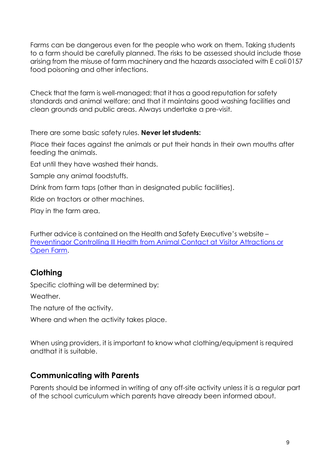Farms can be dangerous even for the people who work on them. Taking students to a farm should be carefully planned. The risks to be assessed should include those arising from the misuse of farm machinery and the hazards associated with E coli 0157 food poisoning and other infections.

Check that the farm is well-managed; that it has a good reputation for safety standards and animal welfare; and that it maintains good washing facilities and clean grounds and public areas. Always undertake a pre-visit.

There are some basic safety rules. **Never let students:**

Place their faces against the animals or put their hands in their own mouths after feeding the animals.

Eat until they have washed their hands.

Sample any animal foodstuffs.

Drink from farm taps (other than in designated public facilities).

Ride on tractors or other machines.

Play in the farm area.

Further advice is contained on the Health and Safety Executive's website – Preventingor Controlling Ill Health from Animal Contact at Visitor Attractions or Open Farm.

# **Clothing**

Specific clothing will be determined by:

Weather.

The nature of the activity.

Where and when the activity takes place.

When using providers, it is important to know what clothing/equipment is required andthat it is suitable.

# **Communicating with Parents**

Parents should be informed in writing of any off-site activity unless it is a regular part of the school curriculum which parents have already been informed about.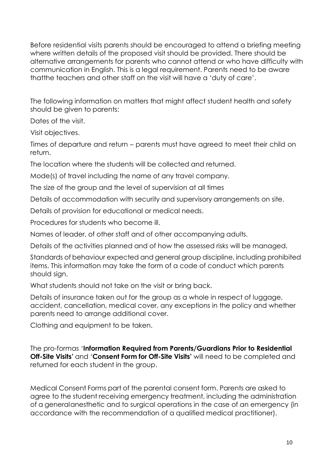Before residential visits parents should be encouraged to attend a briefing meeting where written details of the proposed visit should be provided. There should be alternative arrangements for parents who cannot attend or who have difficulty with communication in English. This is a legal requirement. Parents need to be aware thatthe teachers and other staff on the visit will have a 'duty of care'.

The following information on matters that might affect student health and safety should be given to parents:

Dates of the visit.

Visit objectives.

Times of departure and return – parents must have agreed to meet their child on return.

The location where the students will be collected and returned.

Mode(s) of travel including the name of any travel company.

The size of the group and the level of supervision at all times

Details of accommodation with security and supervisory arrangements on site.

Details of provision for educational or medical needs.

Procedures for students who become ill.

Names of leader, of other staff and of other accompanying adults.

Details of the activities planned and of how the assessed risks will be managed.

Standards of behaviour expected and general group discipline, including prohibited items. This information may take the form of a code of conduct which parents should sign.

What students should not take on the visit or bring back.

Details of insurance taken out for the group as a whole in respect of luggage, accident, cancellation, medical cover, any exceptions in the policy and whether parents need to arrange additional cover.

Clothing and equipment to be taken.

The pro-formas '**Information Required from Parents/Guardians Prior to Residential Off-Site Visits'** and '**Consent Form for Off-Site Visits'** will need to be completed and returned for each student in the group.

Medical Consent Forms part of the parental consent form. Parents are asked to agree to the student receiving emergency treatment, including the administration of a general anesthetic and to surgical operations in the case of an emergency (in accordance with the recommendation of a qualified medical practitioner).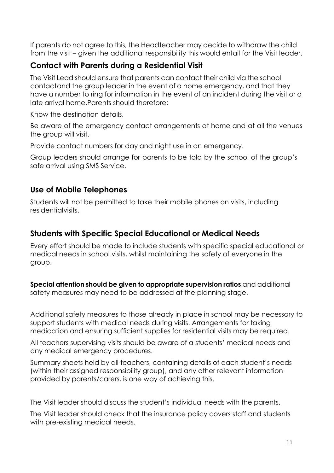If parents do not agree to this, the Headteacher may decide to withdraw the child from the visit – given the additional responsibility this would entail for the Visit leader.

# **Contact with Parents during a Residential Visit**

The Visit Lead should ensure that parents can contact their child via the school contact and the group leader in the event of a home emergency, and that they have a number to ring for information in the event of an incident during the visit or a late arrival home.Parents should therefore:

Know the destination details.

Be aware of the emergency contact arrangements at home and at all the venues the group will visit.

Provide contact numbers for day and night use in an emergency.

Group leaders should arrange for parents to be told by the school of the group's safe arrival using SMS Service.

# **Use of Mobile Telephones**

Students will not be permitted to take their mobile phones on visits, including residentialvisits.

# **Students with Specific Special Educational or Medical Needs**

Every effort should be made to include students with specific special educational or medical needs in school visits, whilst maintaining the safety of everyone in the group.

**Special attention should be given to appropriate supervision ratios** and additional safety measures may need to be addressed at the planning stage.

Additional safety measures to those already in place in school may be necessary to support students with medical needs during visits. Arrangements for taking medication and ensuring sufficient supplies for residential visits may be required.

All teachers supervising visits should be aware of a students' medical needs and any medical emergency procedures.

Summary sheets held by all teachers, containing details of each student's needs (within their assigned responsibility group), and any other relevant information provided by parents/carers, is one way of achieving this.

The Visit leader should discuss the student's individual needs with the parents.

The Visit leader should check that the insurance policy covers staff and students with pre-existing medical needs.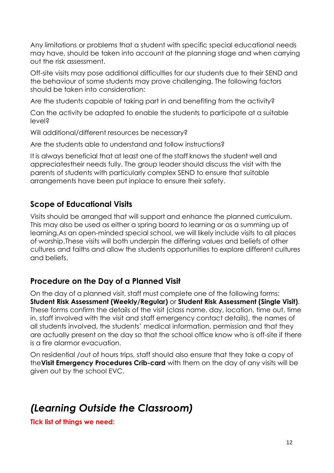Any limitations or problems that a student with specific special educational needs may have, should be taken into account at the planning stage and when carrying out the risk assessment.

Off-site visits may pose additional difficulties for our students due to their SEND and the behaviour of some students may prove challenging. The following factors should be taken into consideration:

Are the students capable of taking part in and benefiting from the activity?

Can the activity be adapted to enable the students to participate at a suitable level?

Will additional/different resources be necessary?

Are the students able to understand and follow instructions?

It is always beneficial that at least one of the staff knows the student well and appreciates their needs fully. The group leader should discuss the visit with the parents of students with particularly complex SEND to ensure that suitable arrangements have been put inplace to ensure their safety.

# **Scope of Educational Visits**

Visits should be arranged that will support and enhance the planned curriculum. This may also be used as either a spring board to learning or as a summing up of learning.As an open-minded special school, we will likely include visits to all places of worship.These visits will both underpin the differing values and beliefs of other cultures and faiths and allow the students opportunities to explore different cultures and beliefs.

# **Procedure on the Day of a Planned Visit**

On the day of a planned visit, staff must complete one of the following forms: **Student Risk Assessment (Weekly/Regular)** or **Student Risk Assessment (Single Visit)**. These forms confirm the details of the visit (class name, day, location, time out, time in, staff involved with the visit and staff emergency contact details), the names of all students involved, the students' medical information, permission and that they are actually present on the day so that the school office know who is off-site if there is a fire alarmor evacuation.

On residential /out of hours trips, staff should also ensure that they take a copy of the**Visit Emergency Procedures Crib-card** with them on the day of any visits will be given out by the school EVC.

# *(Learning Outside the Classroom)*

**Tick list of things we need:**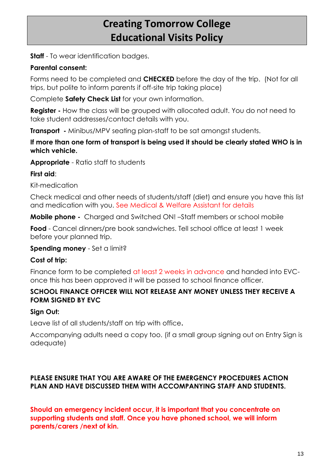# **Creating Tomorrow College Educational Visits Policy**

**Staff** - To wear identification badges.

#### **Parental consent:**

Forms need to be completed and **CHECKED** before the day of the trip. (Not for all trips, but polite to inform parents if off-site trip taking place)

Complete **Safety Check List** for your own information.

**Register -** How the class will be grouped with allocated adult. You do not need to take student addresses/contact details with you.

**Transport** - Minibus/MPV seating plan-staff to be sat amongst students.

#### **If more than one form of transport is being used it should be clearly stated WHO is in which vehicle.**

**Appropriate** - Ratio staff to students

#### **First aid**:

Kit-medication

Check medical and other needs of students/staff (diet) and ensure you have this list and medication with you. See Medical & Welfare Assistant for details

**Mobile phone -** Charged and Switched ON! –Staff members or school mobile

**Food** - Cancel dinners/pre book sandwiches. Tell school office at least 1 week before your planned trip.

#### **Spending money** - Set a limit?

#### **Cost of trip:**

Finance form to be completed at least 2 weeks in advance and handed into EVConce this has been approved it will be passed to school finance officer.

#### **SCHOOL FINANCE OFFICER WILL NOT RELEASE ANY MONEY UNLESS THEY RECEIVE A FORM SIGNED BY EVC**

#### **Sign Out:**

Leave list of all students/staff on trip with office**.** 

Accompanying adults need a copy too. (if a small group signing out on Entry Sign is adequate)

### **PLEASE ENSURE THAT YOU ARE AWARE OF THE EMERGENCY PROCEDURES ACTION PLAN AND HAVE DISCUSSED THEM WITH ACCOMPANYING STAFF AND STUDENTS.**

**Should an emergency incident occur, it is important that you concentrate on supporting students and staff. Once you have phoned school, we will inform parents/carers /next of kin.**